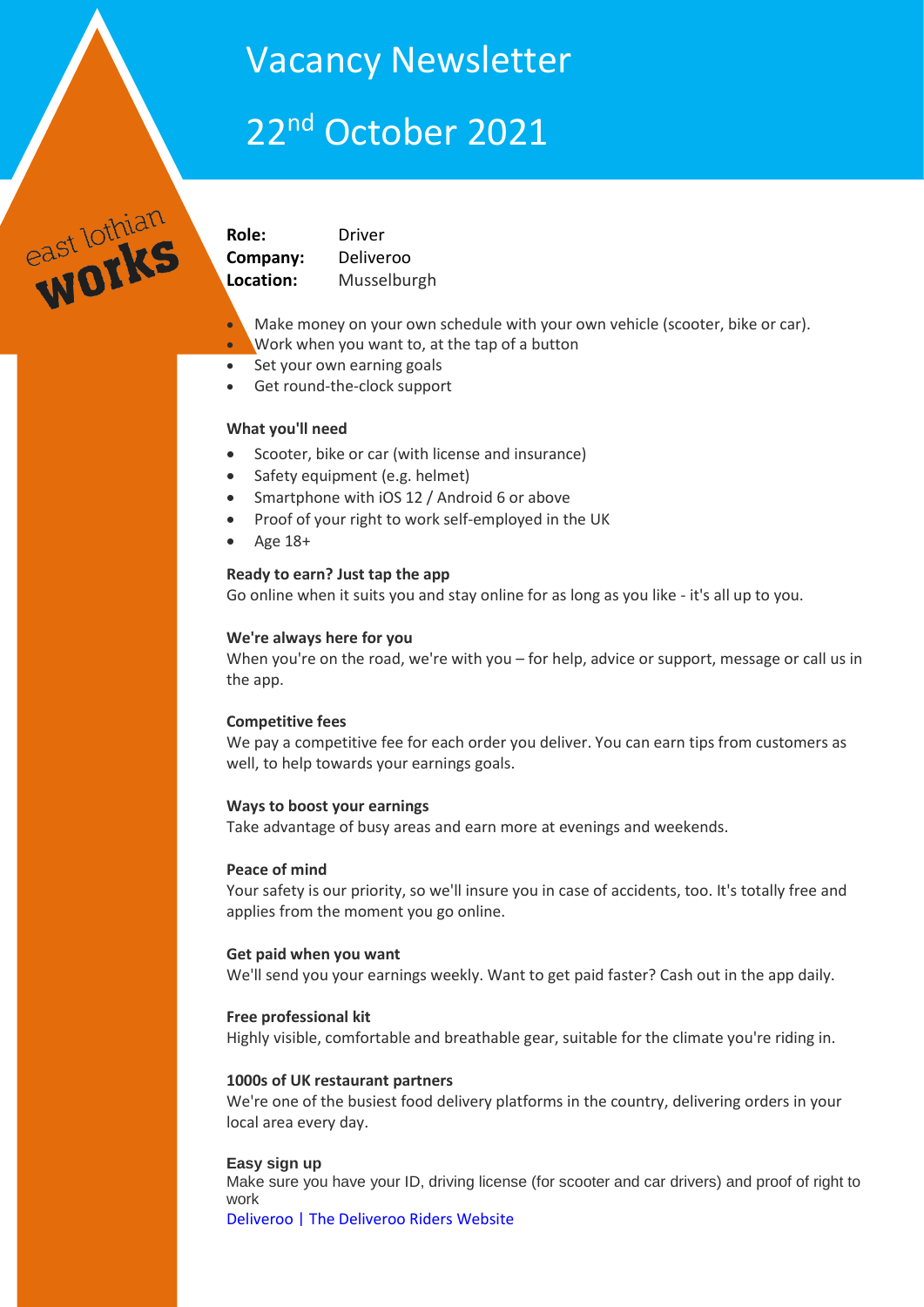# Vacancy Newsletter

# 22<sup>nd</sup> October 2021

east lothian

**Role:** Driver **Company:** Deliveroo **Location:** Musselburgh

- Make money on your own schedule with your own vehicle (scooter, bike or car).
- Work when you want to, at the tap of a button
- Set your own earning goals
- Get round-the-clock support

### **What you'll need**

- Scooter, bike or car (with license and insurance)
- Safety equipment (e.g. helmet)
- Smartphone with iOS 12 / Android 6 or above
- Proof of your right to work self-employed in the UK
- $\bullet$  Age 18+

# **Ready to earn? Just tap the app**

Go online when it suits you and stay online for as long as you like - it's all up to you.

### **We're always here for you**

When you're on the road, we're with you – for help, advice or support, message or call us in the app.

### **Competitive fees**

We pay a competitive fee for each order you deliver. You can earn tips from customers as well, to help towards your earnings goals.

### **Ways to boost your earnings**

Take advantage of busy areas and earn more at evenings and weekends.

### **Peace of mind**

Your safety is our priority, so we'll insure you in case of accidents, too. It's totally free and applies from the moment you go online.

### **Get paid when you want**

We'll send you your earnings weekly. Want to get paid faster? Cash out in the app daily.

### **Free professional kit**

Highly visible, comfortable and breathable gear, suitable for the climate you're riding in.

### **1000s of UK restaurant partners**

We're one of the busiest food delivery platforms in the country, delivering orders in your local area every day.

### **Easy sign up**

Make sure you have your ID, driving license (for scooter and car drivers) and proof of right to work

[Deliveroo | The Deliveroo Riders Website](https://riders.deliveroo.co.uk/en/apply?utm_medium=job%20platforms&utm_campaign=United_Kingdom%5EEdinburgh%5EMusselburgh&rx_page=jobview&utm_source=recruitics_indeed&rx_ts=20211025T065903Z&rx_job=ukdriver-musselburgh-unitedkingdom-20211023&rx_source=Indeed&rx_campaign=Indeed195&rx_group=307626&rx_medium=cpc&rx_p=PDEDC683YJ&rx_viewer=5f059f69e08811eba56ed3c99da170b5b51e05e2bd7144828840c3428ec5ca09)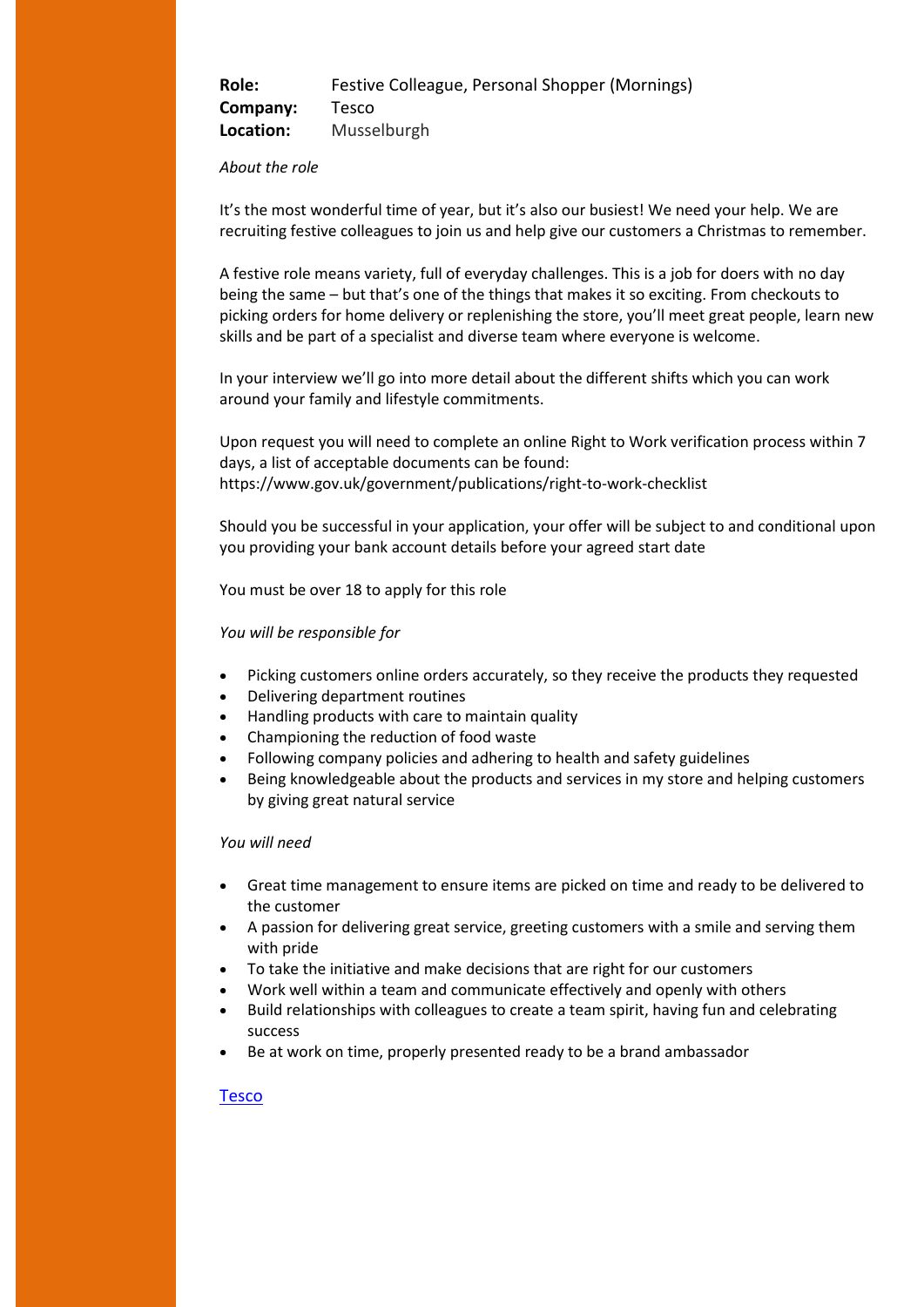| Role:     | Festive Colleague, Personal Shopper (Mornings) |
|-----------|------------------------------------------------|
| Company:  | Tesco                                          |
| Location: | Musselburgh                                    |

#### *About the role*

It's the most wonderful time of year, but it's also our busiest! We need your help. We are recruiting festive colleagues to join us and help give our customers a Christmas to remember.

A festive role means variety, full of everyday challenges. This is a job for doers with no day being the same – but that's one of the things that makes it so exciting. From checkouts to picking orders for home delivery or replenishing the store, you'll meet great people, learn new skills and be part of a specialist and diverse team where everyone is welcome.

In your interview we'll go into more detail about the different shifts which you can work around your family and lifestyle commitments.

Upon request you will need to complete an online Right to Work verification process within 7 days, a list of acceptable documents can be found: https://www.gov.uk/government/publications/right-to-work-checklist

Should you be successful in your application, your offer will be subject to and conditional upon you providing your bank account details before your agreed start date

You must be over 18 to apply for this role

#### *You will be responsible for*

- Picking customers online orders accurately, so they receive the products they requested
- Delivering department routines
- Handling products with care to maintain quality
- Championing the reduction of food waste
- Following company policies and adhering to health and safety guidelines
- Being knowledgeable about the products and services in my store and helping customers by giving great natural service

#### *You will need*

- Great time management to ensure items are picked on time and ready to be delivered to the customer
- A passion for delivering great service, greeting customers with a smile and serving them with pride
- To take the initiative and make decisions that are right for our customers
- Work well within a team and communicate effectively and openly with others
- Build relationships with colleagues to create a team spirit, having fun and celebrating success
- Be at work on time, properly presented ready to be a brand ambassador

### [Tesco](https://uk.indeed.com/viewjob?jk=6e7f96b654bce8f7&tk=1fir6c9vlqb20800&from=serp,iaBackPress&vjs=3)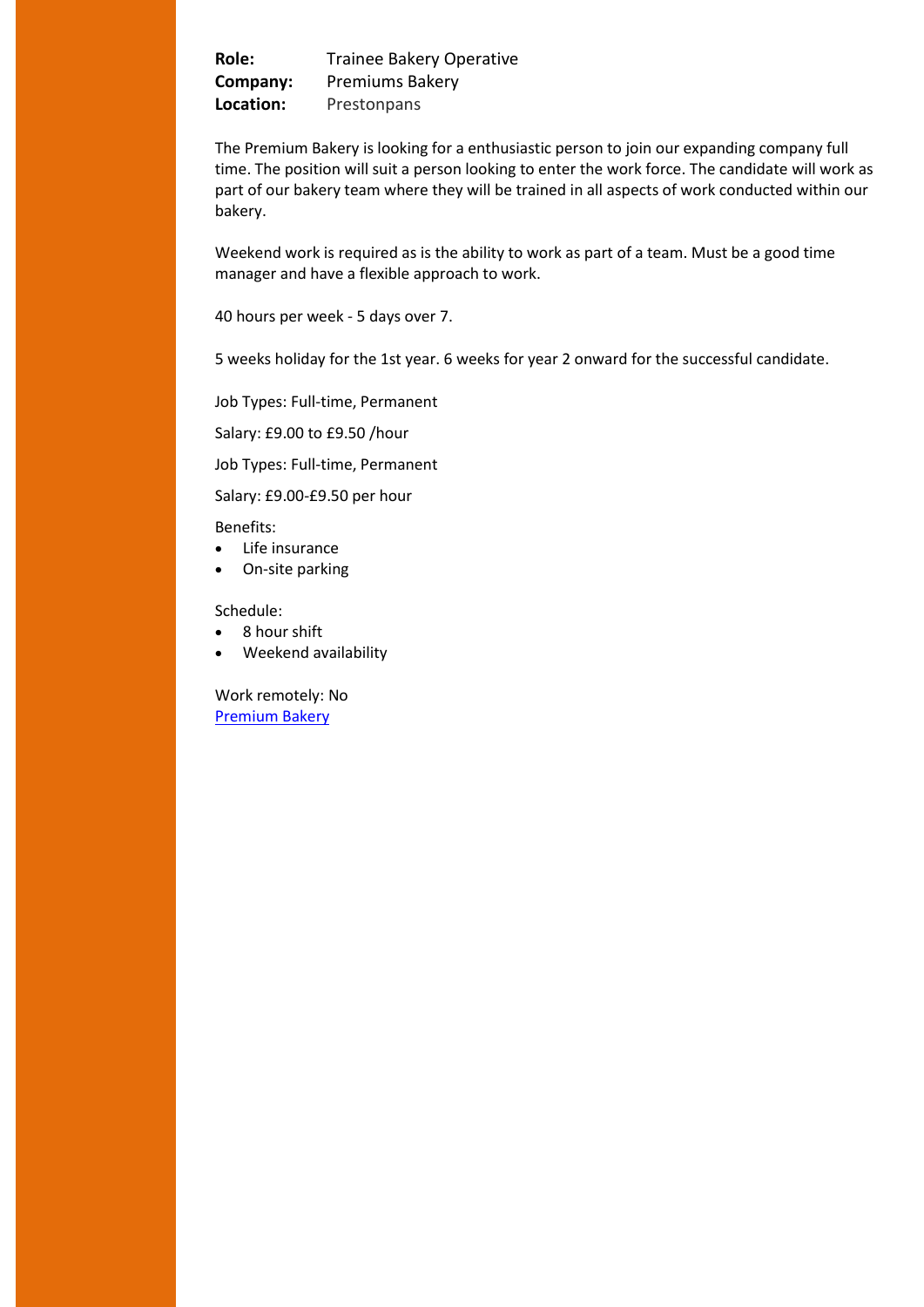**Role:** Trainee Bakery Operative **Company:** Premiums Bakery **Location:** Prestonpans

The Premium Bakery is looking for a enthusiastic person to join our expanding company full time. The position will suit a person looking to enter the work force. The candidate will work as part of our bakery team where they will be trained in all aspects of work conducted within our bakery.

Weekend work is required as is the ability to work as part of a team. Must be a good time manager and have a flexible approach to work.

40 hours per week - 5 days over 7.

5 weeks holiday for the 1st year. 6 weeks for year 2 onward for the successful candidate.

Job Types: Full-time, Permanent

Salary: £9.00 to £9.50 /hour

Job Types: Full-time, Permanent

Salary: £9.00-£9.50 per hour

Benefits:

- Life insurance
- On-site parking

Schedule:

- 8 hour shift
- Weekend availability

Work remotely: No [Premium Bakery](https://uk.indeed.com/viewjob?cmp=The-Premium-Bakery&t=Trainee+Bakery+Operative&jk=4f3a6d7f200ed3dd&vjs=3)